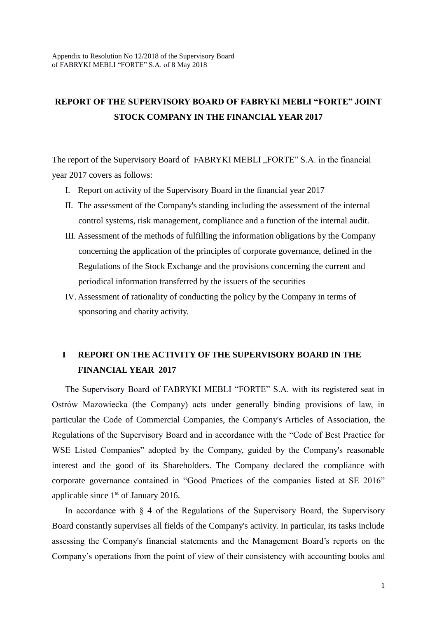### **REPORT OF THE SUPERVISORY BOARD OF FABRYKI MEBLI "FORTE" JOINT STOCK COMPANY IN THE FINANCIAL YEAR 2017**

The report of the Supervisory Board of FABRYKI MEBLI "FORTE" S.A. in the financial year 2017 covers as follows:

- I. Report on activity of the Supervisory Board in the financial year 2017
- II. The assessment of the Company's standing including the assessment of the internal control systems, risk management, compliance and a function of the internal audit.
- III. Assessment of the methods of fulfilling the information obligations by the Company concerning the application of the principles of corporate governance, defined in the Regulations of the Stock Exchange and the provisions concerning the current and periodical information transferred by the issuers of the securities
- IV. Assessment of rationality of conducting the policy by the Company in terms of sponsoring and charity activity.

### **I REPORT ON THE ACTIVITY OF THE SUPERVISORY BOARD IN THE FINANCIAL YEAR 2017**

The Supervisory Board of FABRYKI MEBLI "FORTE" S.A. with its registered seat in Ostrów Mazowiecka (the Company) acts under generally binding provisions of law, in particular the Code of Commercial Companies, the Company's Articles of Association, the Regulations of the Supervisory Board and in accordance with the "Code of Best Practice for WSE Listed Companies" adopted by the Company, guided by the Company's reasonable interest and the good of its Shareholders. The Company declared the compliance with corporate governance contained in "Good Practices of the companies listed at SE 2016" applicable since  $1<sup>st</sup>$  of January 2016.

In accordance with  $\S$  4 of the Regulations of the Supervisory Board, the Supervisory Board constantly supervises all fields of the Company's activity. In particular, its tasks include assessing the Company's financial statements and the Management Board's reports on the Company's operations from the point of view of their consistency with accounting books and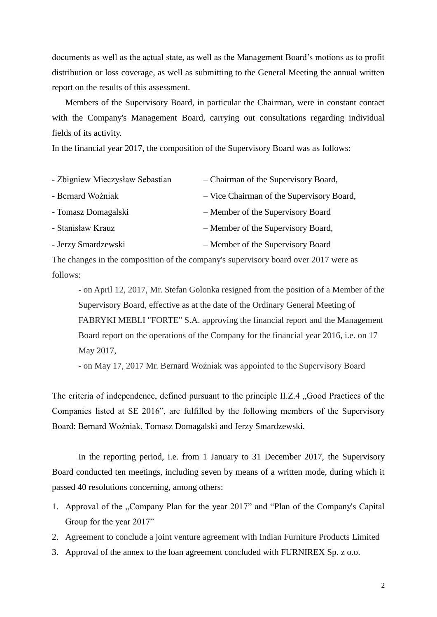documents as well as the actual state, as well as the Management Board's motions as to profit distribution or loss coverage, as well as submitting to the General Meeting the annual written report on the results of this assessment.

Members of the Supervisory Board, in particular the Chairman, were in constant contact with the Company's Management Board, carrying out consultations regarding individual fields of its activity.

In the financial year 2017, the composition of the Supervisory Board was as follows:

| - Zbigniew Mieczysław Sebastian | - Chairman of the Supervisory Board,      |
|---------------------------------|-------------------------------------------|
| - Bernard Woźniak               | - Vice Chairman of the Supervisory Board, |
| - Tomasz Domagalski             | - Member of the Supervisory Board         |
| - Stanisław Krauz               | - Member of the Supervisory Board,        |
| - Jerzy Smardzewski             | - Member of the Supervisory Board         |

The changes in the composition of the company's supervisory board over 2017 were as follows:

- on April 12, 2017, Mr. Stefan Golonka resigned from the position of a Member of the Supervisory Board, effective as at the date of the Ordinary General Meeting of FABRYKI MEBLI "FORTE" S.A. approving the financial report and the Management Board report on the operations of the Company for the financial year 2016, i.e. on 17 May 2017,

- on May 17, 2017 Mr. Bernard Woźniak was appointed to the Supervisory Board

The criteria of independence, defined pursuant to the principle II.Z.4 "Good Practices of the Companies listed at SE 2016", are fulfilled by the following members of the Supervisory Board: Bernard Woźniak, Tomasz Domagalski and Jerzy Smardzewski.

In the reporting period, i.e. from 1 January to 31 December 2017, the Supervisory Board conducted ten meetings, including seven by means of a written mode, during which it passed 40 resolutions concerning, among others:

- 1. Approval of the "Company Plan for the year 2017" and "Plan of the Company's Capital Group for the year 2017"
- 2. Agreement to conclude a joint venture agreement with Indian Furniture Products Limited
- 3. Approval of the annex to the loan agreement concluded with FURNIREX Sp. z o.o.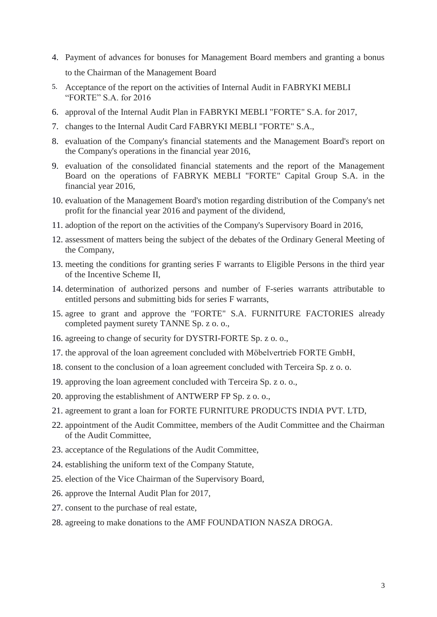- 4. Payment of advances for bonuses for Management Board members and granting a bonus to the Chairman of the Management Board
- 5. Acceptance of the report on the activities of Internal Audit in FABRYKI MEBLI "FORTE" S.A. for 2016
- 6. approval of the Internal Audit Plan in FABRYKI MEBLI "FORTE" S.A. for 2017,
- 7. changes to the Internal Audit Card FABRYKI MEBLI "FORTE" S.A.,
- 8. evaluation of the Company's financial statements and the Management Board's report on the Company's operations in the financial year 2016,
- 9. evaluation of the consolidated financial statements and the report of the Management Board on the operations of FABRYK MEBLI "FORTE" Capital Group S.A. in the financial year 2016,
- 10. evaluation of the Management Board's motion regarding distribution of the Company's net profit for the financial year 2016 and payment of the dividend,
- 11. adoption of the report on the activities of the Company's Supervisory Board in 2016,
- 12. assessment of matters being the subject of the debates of the Ordinary General Meeting of the Company,
- 13. meeting the conditions for granting series F warrants to Eligible Persons in the third year of the Incentive Scheme II,
- 14. determination of authorized persons and number of F-series warrants attributable to entitled persons and submitting bids for series F warrants,
- 15. agree to grant and approve the "FORTE" S.A. FURNITURE FACTORIES already completed payment surety TANNE Sp. z o. o.,
- 16. agreeing to change of security for DYSTRI-FORTE Sp. z o. o.,
- 17. the approval of the loan agreement concluded with Möbelvertrieb FORTE GmbH,
- 18. consent to the conclusion of a loan agreement concluded with Terceira Sp. z o. o.
- 19. approving the loan agreement concluded with Terceira Sp. z o. o.,
- 20. approving the establishment of ANTWERP FP Sp. z o. o.,
- 21. agreement to grant a loan for FORTE FURNITURE PRODUCTS INDIA PVT. LTD,
- 22. appointment of the Audit Committee, members of the Audit Committee and the Chairman of the Audit Committee,
- 23. acceptance of the Regulations of the Audit Committee,
- 24. establishing the uniform text of the Company Statute,
- 25. election of the Vice Chairman of the Supervisory Board,
- 26. approve the Internal Audit Plan for 2017,
- 27. consent to the purchase of real estate,
- 28. agreeing to make donations to the AMF FOUNDATION NASZA DROGA.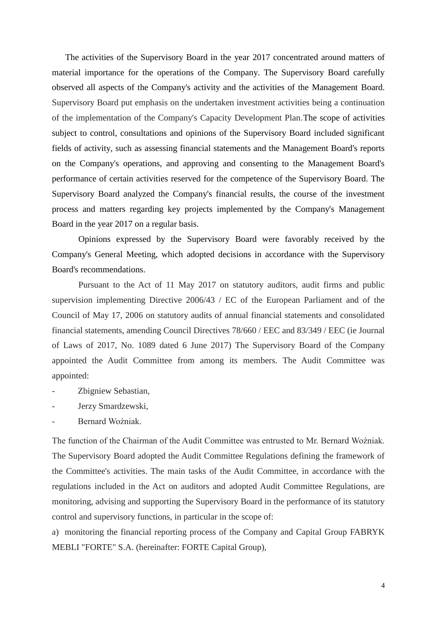The activities of the Supervisory Board in the year 2017 concentrated around matters of material importance for the operations of the Company. The Supervisory Board carefully observed all aspects of the Company's activity and the activities of the Management Board. Supervisory Board put emphasis on the undertaken investment activities being a continuation of the implementation of the Company's Capacity Development Plan.The scope of activities subject to control, consultations and opinions of the Supervisory Board included significant fields of activity, such as assessing financial statements and the Management Board's reports on the Company's operations, and approving and consenting to the Management Board's performance of certain activities reserved for the competence of the Supervisory Board. The Supervisory Board analyzed the Company's financial results, the course of the investment process and matters regarding key projects implemented by the Company's Management Board in the year 2017 on a regular basis.

Opinions expressed by the Supervisory Board were favorably received by the Company's General Meeting, which adopted decisions in accordance with the Supervisory Board's recommendations.

Pursuant to the Act of 11 May 2017 on statutory auditors, audit firms and public supervision implementing Directive 2006/43 / EC of the European Parliament and of the Council of May 17, 2006 on statutory audits of annual financial statements and consolidated financial statements, amending Council Directives 78/660 / EEC and 83/349 / EEC (ie Journal of Laws of 2017, No. 1089 dated 6 June 2017) The Supervisory Board of the Company appointed the Audit Committee from among its members. The Audit Committee was appointed:

- Zbigniew Sebastian,
- Jerzy Smardzewski,
- Bernard Woźniak.

The function of the Chairman of the Audit Committee was entrusted to Mr. Bernard Woźniak. The Supervisory Board adopted the Audit Committee Regulations defining the framework of the Committee's activities. The main tasks of the Audit Committee, in accordance with the regulations included in the Act on auditors and adopted Audit Committee Regulations, are monitoring, advising and supporting the Supervisory Board in the performance of its statutory control and supervisory functions, in particular in the scope of:

a) monitoring the financial reporting process of the Company and Capital Group FABRYK MEBLI "FORTE" S.A. (hereinafter: FORTE Capital Group),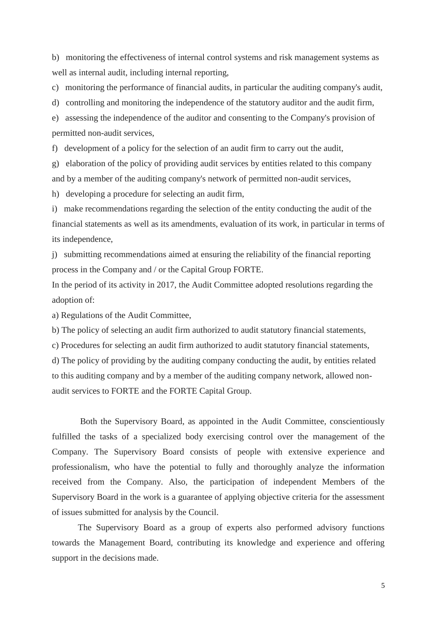b) monitoring the effectiveness of internal control systems and risk management systems as well as internal audit, including internal reporting,

c) monitoring the performance of financial audits, in particular the auditing company's audit,

d) controlling and monitoring the independence of the statutory auditor and the audit firm,

e) assessing the independence of the auditor and consenting to the Company's provision of permitted non-audit services,

f) development of a policy for the selection of an audit firm to carry out the audit,

g) elaboration of the policy of providing audit services by entities related to this company and by a member of the auditing company's network of permitted non-audit services,

h) developing a procedure for selecting an audit firm,

i) make recommendations regarding the selection of the entity conducting the audit of the financial statements as well as its amendments, evaluation of its work, in particular in terms of its independence,

j) submitting recommendations aimed at ensuring the reliability of the financial reporting process in the Company and / or the Capital Group FORTE.

In the period of its activity in 2017, the Audit Committee adopted resolutions regarding the adoption of:

a) Regulations of the Audit Committee,

b) The policy of selecting an audit firm authorized to audit statutory financial statements,

c) Procedures for selecting an audit firm authorized to audit statutory financial statements,

d) The policy of providing by the auditing company conducting the audit, by entities related to this auditing company and by a member of the auditing company network, allowed nonaudit services to FORTE and the FORTE Capital Group.

 Both the Supervisory Board, as appointed in the Audit Committee, conscientiously fulfilled the tasks of a specialized body exercising control over the management of the Company. The Supervisory Board consists of people with extensive experience and professionalism, who have the potential to fully and thoroughly analyze the information received from the Company. Also, the participation of independent Members of the Supervisory Board in the work is a guarantee of applying objective criteria for the assessment of issues submitted for analysis by the Council.

The Supervisory Board as a group of experts also performed advisory functions towards the Management Board, contributing its knowledge and experience and offering support in the decisions made.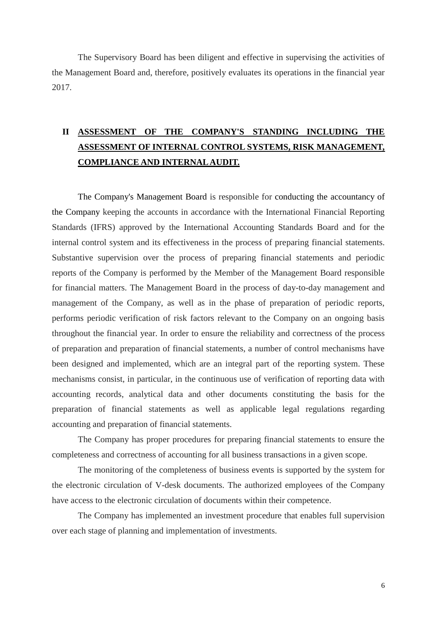The Supervisory Board has been diligent and effective in supervising the activities of the Management Board and, therefore, positively evaluates its operations in the financial year 2017.

# **II ASSESSMENT OF THE COMPANY'S STANDING INCLUDING THE ASSESSMENT OF INTERNAL CONTROL SYSTEMS, RISK MANAGEMENT, COMPLIANCE AND INTERNAL AUDIT.**

The Company's Management Board is responsible for conducting the accountancy of the Company keeping the accounts in accordance with the International Financial Reporting Standards (IFRS) approved by the International Accounting Standards Board and for the internal control system and its effectiveness in the process of preparing financial statements. Substantive supervision over the process of preparing financial statements and periodic reports of the Company is performed by the Member of the Management Board responsible for financial matters. The Management Board in the process of day-to-day management and management of the Company, as well as in the phase of preparation of periodic reports, performs periodic verification of risk factors relevant to the Company on an ongoing basis throughout the financial year. In order to ensure the reliability and correctness of the process of preparation and preparation of financial statements, a number of control mechanisms have been designed and implemented, which are an integral part of the reporting system. These mechanisms consist, in particular, in the continuous use of verification of reporting data with accounting records, analytical data and other documents constituting the basis for the preparation of financial statements as well as applicable legal regulations regarding accounting and preparation of financial statements.

The Company has proper procedures for preparing financial statements to ensure the completeness and correctness of accounting for all business transactions in a given scope.

The monitoring of the completeness of business events is supported by the system for the electronic circulation of V-desk documents. The authorized employees of the Company have access to the electronic circulation of documents within their competence.

The Company has implemented an investment procedure that enables full supervision over each stage of planning and implementation of investments.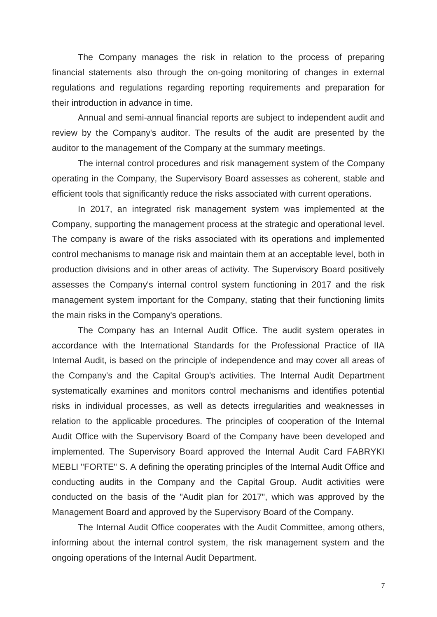The Company manages the risk in relation to the process of preparing financial statements also through the on-going monitoring of changes in external regulations and regulations regarding reporting requirements and preparation for their introduction in advance in time.

Annual and semi-annual financial reports are subject to independent audit and review by the Company's auditor. The results of the audit are presented by the auditor to the management of the Company at the summary meetings.

The internal control procedures and risk management system of the Company operating in the Company, the Supervisory Board assesses as coherent, stable and efficient tools that significantly reduce the risks associated with current operations.

In 2017, an integrated risk management system was implemented at the Company, supporting the management process at the strategic and operational level. The company is aware of the risks associated with its operations and implemented control mechanisms to manage risk and maintain them at an acceptable level, both in production divisions and in other areas of activity. The Supervisory Board positively assesses the Company's internal control system functioning in 2017 and the risk management system important for the Company, stating that their functioning limits the main risks in the Company's operations.

The Company has an Internal Audit Office. The audit system operates in accordance with the International Standards for the Professional Practice of IIA Internal Audit, is based on the principle of independence and may cover all areas of the Company's and the Capital Group's activities. The Internal Audit Department systematically examines and monitors control mechanisms and identifies potential risks in individual processes, as well as detects irregularities and weaknesses in relation to the applicable procedures. The principles of cooperation of the Internal Audit Office with the Supervisory Board of the Company have been developed and implemented. The Supervisory Board approved the Internal Audit Card FABRYKI MEBLI "FORTE" S. A defining the operating principles of the Internal Audit Office and conducting audits in the Company and the Capital Group. Audit activities were conducted on the basis of the "Audit plan for 2017", which was approved by the Management Board and approved by the Supervisory Board of the Company.

The Internal Audit Office cooperates with the Audit Committee, among others, informing about the internal control system, the risk management system and the ongoing operations of the Internal Audit Department.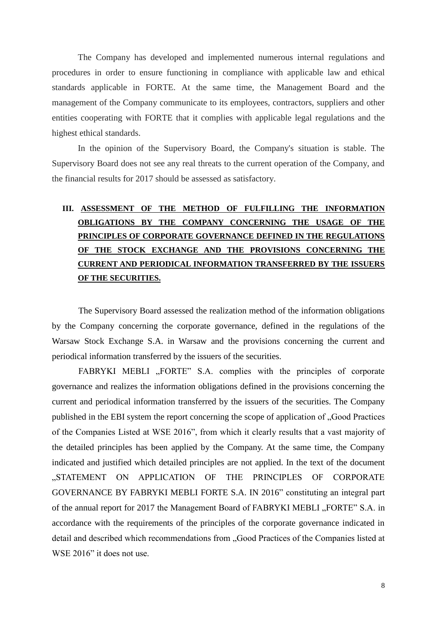The Company has developed and implemented numerous internal regulations and procedures in order to ensure functioning in compliance with applicable law and ethical standards applicable in FORTE. At the same time, the Management Board and the management of the Company communicate to its employees, contractors, suppliers and other entities cooperating with FORTE that it complies with applicable legal regulations and the highest ethical standards.

In the opinion of the Supervisory Board, the Company's situation is stable. The Supervisory Board does not see any real threats to the current operation of the Company, and the financial results for 2017 should be assessed as satisfactory.

# **III. ASSESSMENT OF THE METHOD OF FULFILLING THE INFORMATION OBLIGATIONS BY THE COMPANY CONCERNING THE USAGE OF THE PRINCIPLES OF CORPORATE GOVERNANCE DEFINED IN THE REGULATIONS OF THE STOCK EXCHANGE AND THE PROVISIONS CONCERNING THE CURRENT AND PERIODICAL INFORMATION TRANSFERRED BY THE ISSUERS OF THE SECURITIES.**

The Supervisory Board assessed the realization method of the information obligations by the Company concerning the corporate governance, defined in the regulations of the Warsaw Stock Exchange S.A. in Warsaw and the provisions concerning the current and periodical information transferred by the issuers of the securities.

FABRYKI MEBLI "FORTE" S.A. complies with the principles of corporate governance and realizes the information obligations defined in the provisions concerning the current and periodical information transferred by the issuers of the securities. The Company published in the EBI system the report concerning the scope of application of "Good Practices of the Companies Listed at WSE 2016", from which it clearly results that a vast majority of the detailed principles has been applied by the Company. At the same time, the Company indicated and justified which detailed principles are not applied. In the text of the document ..STATEMENT ON APPLICATION OF THE PRINCIPLES OF CORPORATE GOVERNANCE BY FABRYKI MEBLI FORTE S.A. IN 2016" constituting an integral part of the annual report for 2017 the Management Board of FABRYKI MEBLI "FORTE" S.A. in accordance with the requirements of the principles of the corporate governance indicated in detail and described which recommendations from "Good Practices of the Companies listed at WSE 2016" it does not use.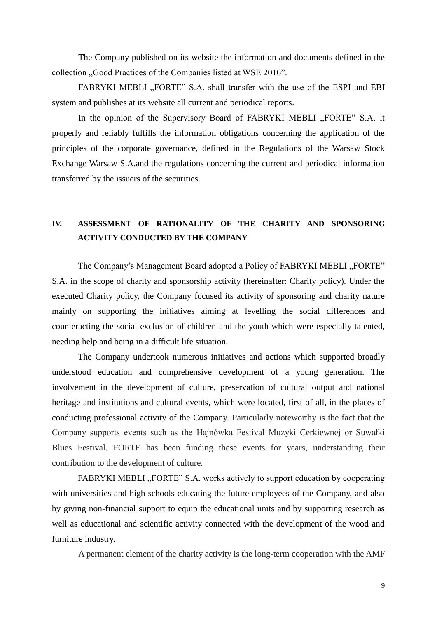The Company published on its website the information and documents defined in the collection . Good Practices of the Companies listed at WSE 2016".

FABRYKI MEBLI "FORTE" S.A. shall transfer with the use of the ESPI and EBI system and publishes at its website all current and periodical reports.

In the opinion of the Supervisory Board of FABRYKI MEBLI "FORTE" S.A. it properly and reliably fulfills the information obligations concerning the application of the principles of the corporate governance, defined in the Regulations of the Warsaw Stock Exchange Warsaw S.A.and the regulations concerning the current and periodical information transferred by the issuers of the securities.

#### **IV. ASSESSMENT OF RATIONALITY OF THE CHARITY AND SPONSORING ACTIVITY CONDUCTED BY THE COMPANY**

The Company's Management Board adopted a Policy of FABRYKI MEBLI "FORTE" S.A. in the scope of charity and sponsorship activity (hereinafter: Charity policy). Under the executed Charity policy, the Company focused its activity of sponsoring and charity nature mainly on supporting the initiatives aiming at levelling the social differences and counteracting the social exclusion of children and the youth which were especially talented, needing help and being in a difficult life situation.

The Company undertook numerous initiatives and actions which supported broadly understood education and comprehensive development of a young generation. The involvement in the development of culture, preservation of cultural output and national heritage and institutions and cultural events, which were located, first of all, in the places of conducting professional activity of the Company. Particularly noteworthy is the fact that the Company supports events such as the Hajnówka Festival Muzyki Cerkiewnej or Suwałki Blues Festival. FORTE has been funding these events for years, understanding their contribution to the development of culture.

FABRYKI MEBLI "FORTE" S.A. works actively to support education by cooperating with universities and high schools educating the future employees of the Company, and also by giving non-financial support to equip the educational units and by supporting research as well as educational and scientific activity connected with the development of the wood and furniture industry.

A permanent element of the charity activity is the long-term cooperation with the AMF